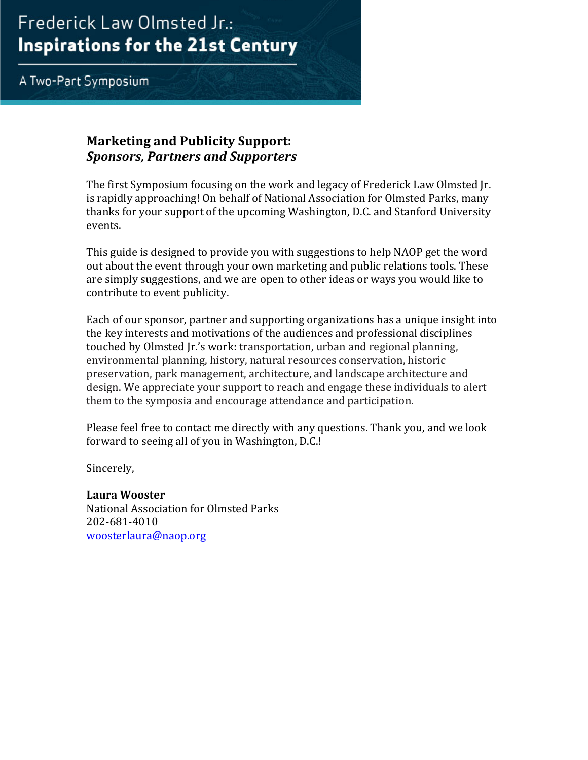# Frederick Law Olmsted Jr.: **Inspirations for the 21st Century**

A Two-Part Symposium

# **Marketing and Publicity Support:** *Sponsors, Partners and Supporters*

The first Symposium focusing on the work and legacy of Frederick Law Olmsted Jr. is rapidly approaching! On behalf of National Association for Olmsted Parks, many thanks for your support of the upcoming Washington, D.C. and Stanford University events.

This guide is designed to provide you with suggestions to help NAOP get the word out about the event through your own marketing and public relations tools. These are simply suggestions, and we are open to other ideas or ways you would like to contribute to event publicity.

Each of our sponsor, partner and supporting organizations has a unique insight into the key interests and motivations of the audiences and professional disciplines touched by Olmsted Jr.'s work: transportation, urban and regional planning, environmental planning, history, natural resources conservation, historic preservation, park management, architecture, and landscape architecture and design. We appreciate your support to reach and engage these individuals to alert them to the symposia and encourage attendance and participation.

Please feel free to contact me directly with any questions. Thank you, and we look forward to seeing all of you in Washington, D.C.!

Sincerely,

Laura Wooster National Association for Olmsted Parks 202-681-4010 woosterlaura@naop.org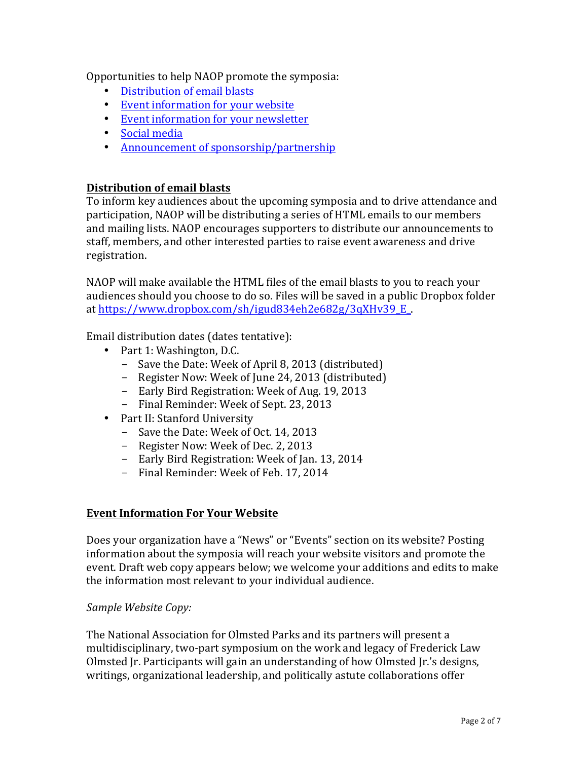Opportunities to help NAOP promote the symposia:

- Distribution of email blasts
- Event information for your website
- Event information for your newsletter
- Social media
- Announcement of sponsorship/partnership

#### **Distribution of email blasts**

To inform key audiences about the upcoming symposia and to drive attendance and participation, NAOP will be distributing a series of HTML emails to our members and mailing lists. NAOP encourages supporters to distribute our announcements to staff, members, and other interested parties to raise event awareness and drive registration.

NAOP will make available the HTML files of the email blasts to you to reach your audiences should you choose to do so. Files will be saved in a public Dropbox folder at https://www.dropbox.com/sh/igud834eh2e682g/3qXHv39 E.

Email distribution dates (dates tentative):

- Part 1: Washington, D.C.
	- Save the Date: Week of April 8, 2013 (distributed)
	- Register Now: Week of June 24, 2013 (distributed)
	- Early Bird Registration: Week of Aug. 19, 2013
	- Final Reminder: Week of Sept. 23, 2013
- Part II: Stanford University
	- Save the Date: Week of Oct. 14, 2013
	- Register Now: Week of Dec. 2, 2013
	- Early Bird Registration: Week of Jan. 13, 2014
	- Final Reminder: Week of Feb. 17, 2014

#### **Event Information For Your Website**

Does your organization have a "News" or "Events" section on its website? Posting information about the symposia will reach your website visitors and promote the event. Draft web copy appears below; we welcome your additions and edits to make the information most relevant to your individual audience.

#### *Sample Website Copy:*

The National Association for Olmsted Parks and its partners will present a multidisciplinary, two-part symposium on the work and legacy of Frederick Law Olmsted Jr. Participants will gain an understanding of how Olmsted Jr.'s designs, writings, organizational leadership, and politically astute collaborations offer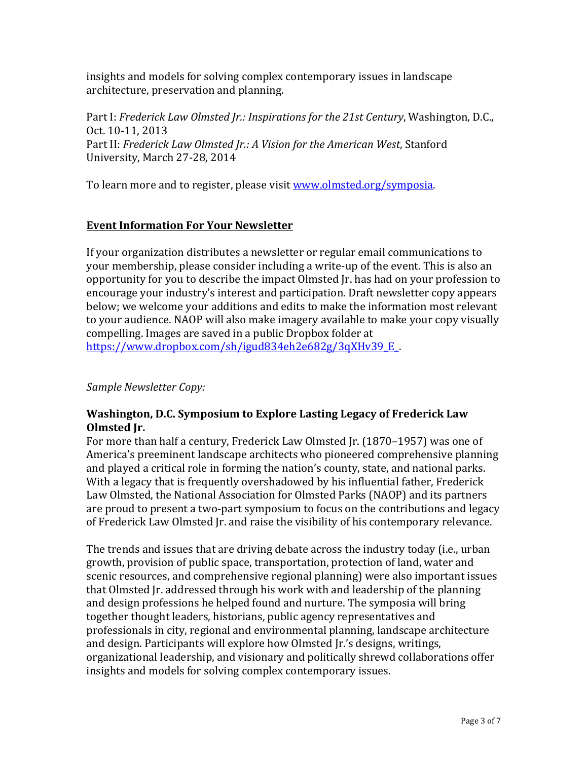insights and models for solving complex contemporary issues in landscape architecture, preservation and planning.

Part I: *Frederick Law Olmsted Jr.: Inspirations for the 21st Century*, Washington, D.C., Oct. 10-11, 2013 Part II: *Frederick Law Olmsted Jr.: A Vision for the American West*, Stanford University, March 27-28, 2014

To learn more and to register, please visit www.olmsted.org/symposia.

#### **Event Information For Your Newsletter**

If your organization distributes a newsletter or regular email communications to your membership, please consider including a write-up of the event. This is also an opportunity for you to describe the impact Olmsted Jr. has had on your profession to encourage your industry's interest and participation. Draft newsletter copy appears below; we welcome your additions and edits to make the information most relevant to your audience. NAOP will also make imagery available to make your copy visually compelling. Images are saved in a public Dropbox folder at https://www.dropbox.com/sh/igud834eh2e682g/3qXHv39\_E\_. 

*Sample Newsletter Copy:*

#### **Washington, D.C. Symposium to Explore Lasting Legacy of Frederick Law Olmsted** Ir.

For more than half a century, Frederick Law Olmsted Ir. (1870–1957) was one of America's preeminent landscape architects who pioneered comprehensive planning and played a critical role in forming the nation's county, state, and national parks. With a legacy that is frequently overshadowed by his influential father, Frederick Law Olmsted, the National Association for Olmsted Parks (NAOP) and its partners are proud to present a two-part symposium to focus on the contributions and legacy of Frederick Law Olmsted Jr. and raise the visibility of his contemporary relevance.

The trends and issues that are driving debate across the industry today (i.e., urban growth, provision of public space, transportation, protection of land, water and scenic resources, and comprehensive regional planning) were also important issues that Olmsted Ir. addressed through his work with and leadership of the planning and design professions he helped found and nurture. The symposia will bring together thought leaders, historians, public agency representatives and professionals in city, regional and environmental planning, landscape architecture and design. Participants will explore how Olmsted Jr.'s designs, writings, organizational leadership, and visionary and politically shrewd collaborations offer insights and models for solving complex contemporary issues.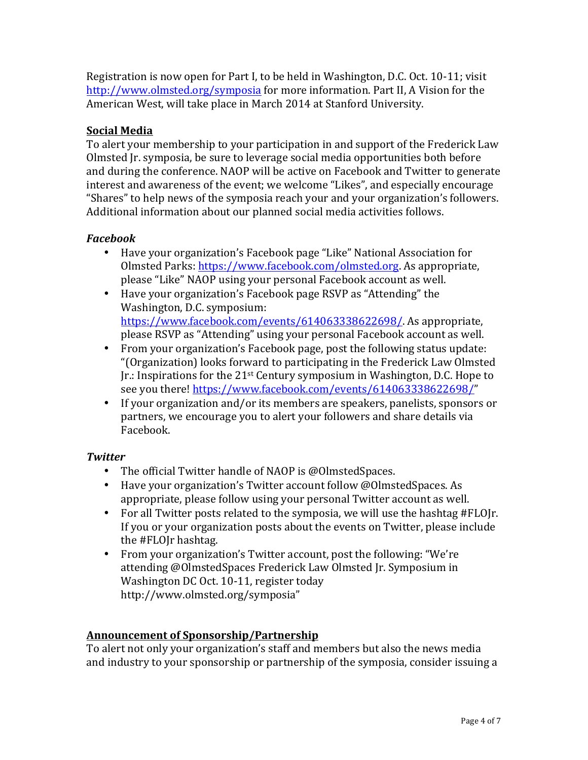Registration is now open for Part I, to be held in Washington, D.C. Oct. 10-11; visit http://www.olmsted.org/symposia for more information. Part II, A Vision for the American West, will take place in March 2014 at Stanford University.

#### **Social Media**

To alert your membership to your participation in and support of the Frederick Law Olmsted Jr. symposia, be sure to leverage social media opportunities both before and during the conference. NAOP will be active on Facebook and Twitter to generate interest and awareness of the event; we welcome "Likes", and especially encourage "Shares" to help news of the symposia reach your and your organization's followers. Additional information about our planned social media activities follows.

#### *Facebook*

- Have your organization's Facebook page "Like" National Association for Olmsted Parks: https://www.facebook.com/olmsted.org. As appropriate, please "Like" NAOP using your personal Facebook account as well.
- Have your organization's Facebook page RSVP as "Attending" the Washington, D.C. symposium: https://www.facebook.com/events/614063338622698/. As appropriate, please RSVP as "Attending" using your personal Facebook account as well.
- From your organization's Facebook page, post the following status update: "(Organization) looks forward to participating in the Frederick Law Olmsted Ir.: Inspirations for the  $21<sup>st</sup>$  Century symposium in Washington, D.C. Hope to see you there! https://www.facebook.com/events/614063338622698/"
- If your organization and/or its members are speakers, panelists, sponsors or partners, we encourage you to alert your followers and share details via Facebook.

#### *Twitter*

- The official Twitter handle of NAOP is @OlmstedSpaces.
- Have your organization's Twitter account follow @OlmstedSpaces. As appropriate, please follow using your personal Twitter account as well.
- For all Twitter posts related to the symposia, we will use the hashtag  $#FLO$  Ir. If you or your organization posts about the events on Twitter, please include the #FLOJr hashtag.
- From your organization's Twitter account, post the following: "We're attending @OlmstedSpaces Frederick Law Olmsted Jr. Symposium in Washington DC Oct. 10-11, register today http://www.olmsted.org/symposia"

## **Announcement of Sponsorship/Partnership**

To alert not only your organization's staff and members but also the news media and industry to your sponsorship or partnership of the symposia, consider issuing a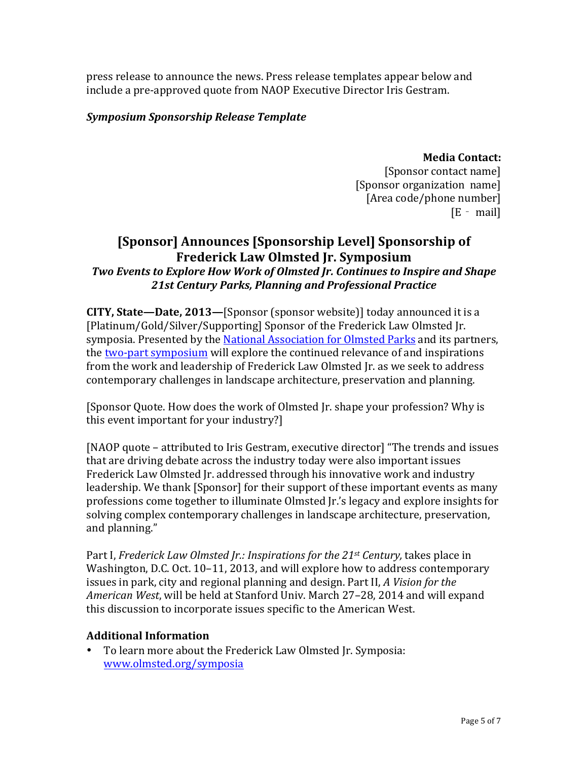press release to announce the news. Press release templates appear below and include a pre-approved quote from NAOP Executive Director Iris Gestram.

#### *Symposium Sponsorship Release Template*

**Media Contact:**

[Sponsor contact name] [Sponsor organization name] [Area code/phone number] [E - mail]

## **[Sponsor]** Announces **[Sponsorship Level]** Sponsorship of **Frederick Law Olmsted Jr. Symposium** *Two Events to Explore How Work of Olmsted Jr. Continues to Inspire and Shape* 21st Century Parks, Planning and Professional Practice

**CITY, State—Date, 2013—**[Sponsor (sponsor website)] today announced it is a [Platinum/Gold/Silver/Supporting] Sponsor of the Frederick Law Olmsted Jr. symposia. Presented by the National Association for Olmsted Parks and its partners, the two-part symposium will explore the continued relevance of and inspirations from the work and leadership of Frederick Law Olmsted Jr. as we seek to address contemporary challenges in landscape architecture, preservation and planning.

[Sponsor Quote. How does the work of Olmsted Jr. shape your profession? Why is this event important for your industry?

[NAOP quote – attributed to Iris Gestram, executive director] "The trends and issues that are driving debate across the industry today were also important issues Frederick Law Olmsted Jr. addressed through his innovative work and industry leadership. We thank [Sponsor] for their support of these important events as many professions come together to illuminate Olmsted Jr.'s legacy and explore insights for solving complex contemporary challenges in landscape architecture, preservation, and planning."

Part I, *Frederick Law Olmsted Jr.: Inspirations for the 21<sup>st</sup> Century, takes place in* Washington, D.C. Oct. 10-11, 2013, and will explore how to address contemporary issues in park, city and regional planning and design. Part II, *A Vision for the* American West, will be held at Stanford Univ. March 27–28, 2014 and will expand this discussion to incorporate issues specific to the American West.

#### **Additional Information**

To learn more about the Frederick Law Olmsted Jr. Symposia: www.olmsted.org/symposia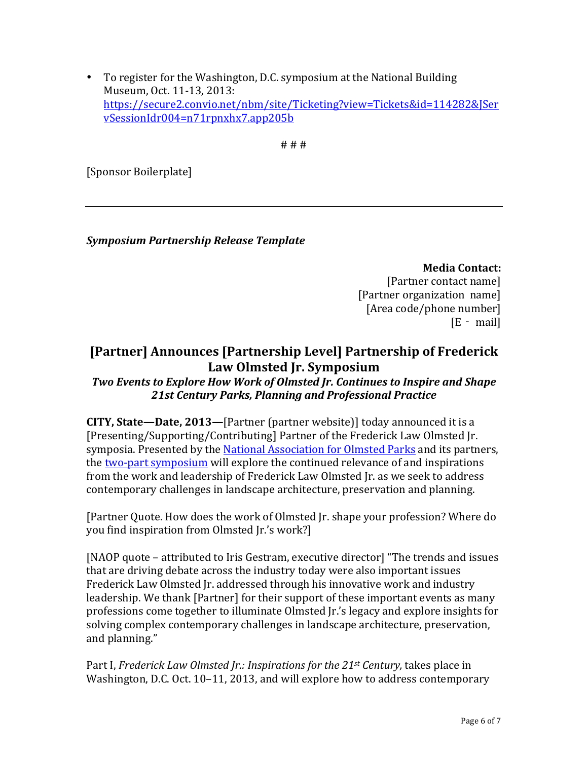• To register for the Washington, D.C. symposium at the National Building Museum, Oct. 11-13, 2013: https://secure2.convio.net/nbm/site/Ticketing?view=Tickets&id=114282&JSer vSessionIdr004=n71rpnxhx7.app205b

# # #

[Sponsor Boilerplate]

*Symposium Partnership Release Template*

**Media Contact:** [Partner contact name] [Partner organization name] [Area code/phone number] [E - mail]

# **[Partner] Announces [Partnership Level] Partnership of Frederick** Law Olmsted Ir. Symposium

#### *Two Events to Explore How Work of Olmsted Jr. Continues to Inspire and Shape* 21st Century Parks, Planning and Professional Practice

**CITY, State—Date, 2013—**[Partner (partner website)] today announced it is a [Presenting/Supporting/Contributing] Partner of the Frederick Law Olmsted Jr. symposia. Presented by the National Association for Olmsted Parks and its partners, the two-part symposium will explore the continued relevance of and inspirations from the work and leadership of Frederick Law Olmsted Jr. as we seek to address contemporary challenges in landscape architecture, preservation and planning.

[Partner Quote. How does the work of Olmsted Jr. shape your profession? Where do you find inspiration from Olmsted [r.'s work?]

[NAOP quote – attributed to Iris Gestram, executive director] "The trends and issues that are driving debate across the industry today were also important issues Frederick Law Olmsted Jr. addressed through his innovative work and industry leadership. We thank [Partner] for their support of these important events as many professions come together to illuminate Olmsted Jr.'s legacy and explore insights for solving complex contemporary challenges in landscape architecture, preservation, and planning."

Part I, *Frederick Law Olmsted Jr.: Inspirations for the 21<sup>st</sup> Century, takes place in* Washington, D.C. Oct. 10–11, 2013, and will explore how to address contemporary